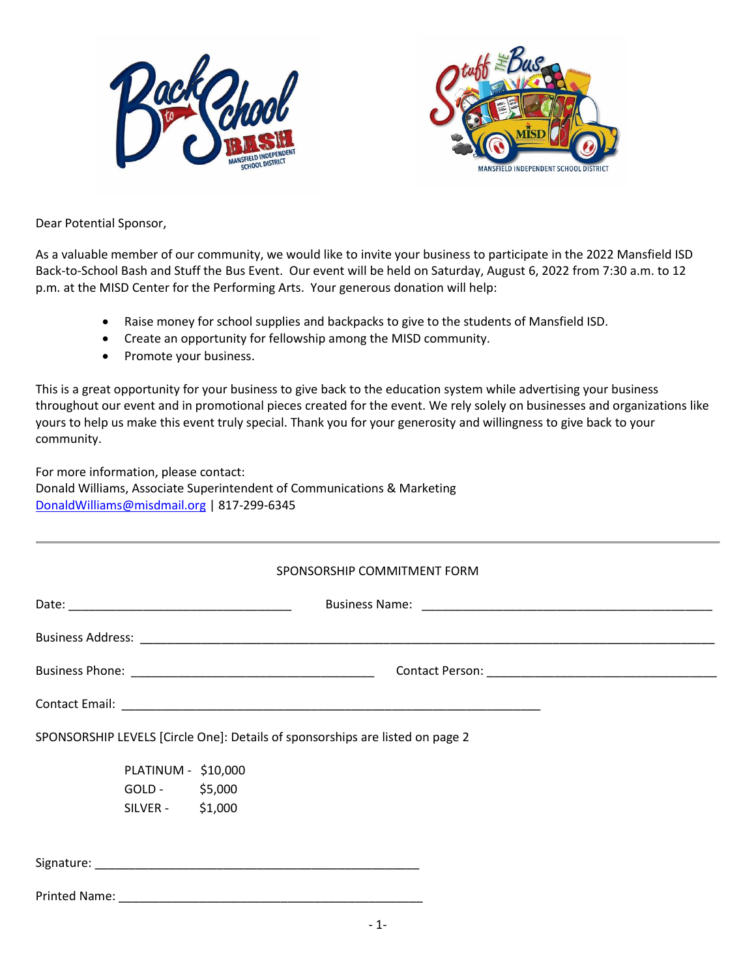



Dear Potential Sponsor,

As a valuable member of our community, we would like to invite your business to participate in the 2022 Mansfield ISD Back-to-School Bash and Stuff the Bus Event. Our event will be held on Saturday, August 6, 2022 from 7:30 a.m. to 12 p.m. at the MISD Center for the Performing Arts. Your generous donation will help:

- Raise money for school supplies and backpacks to give to the students of Mansfield ISD.
- Create an opportunity for fellowship among the MISD community.
- Promote your business.

This is a great opportunity for your business to give back to the education system while advertising your business throughout our event and in promotional pieces created for the event. We rely solely on businesses and organizations like yours to help us make this event truly special. Thank you for your generosity and willingness to give back to your community.

For more information, please contact: Donald Williams, Associate Superintendent of Communications & Marketing [DonaldWilliams@misdmail.org](mailto:DonaldWilliams@misdmail.org) | 817-299-6345

|                     | SPONSORSHIP COMMITMENT FORM                                                   |  |  |
|---------------------|-------------------------------------------------------------------------------|--|--|
|                     |                                                                               |  |  |
|                     |                                                                               |  |  |
|                     |                                                                               |  |  |
|                     |                                                                               |  |  |
|                     | SPONSORSHIP LEVELS [Circle One]: Details of sponsorships are listed on page 2 |  |  |
| PLATINUM - \$10,000 |                                                                               |  |  |
| GOLD - \$5,000      |                                                                               |  |  |
| SILVER - \$1,000    |                                                                               |  |  |
|                     |                                                                               |  |  |
|                     |                                                                               |  |  |
|                     |                                                                               |  |  |